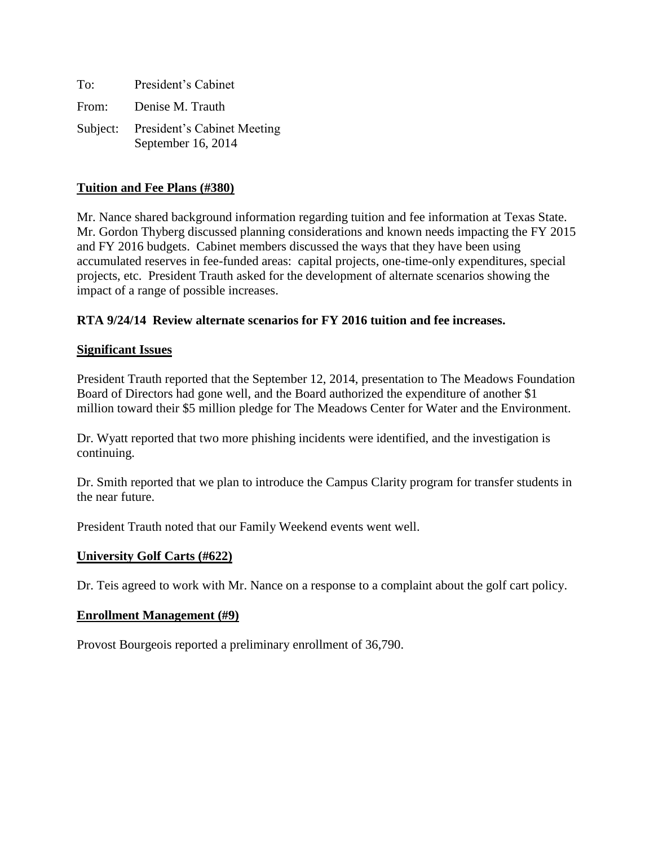| To:   | President's Cabinet                                        |
|-------|------------------------------------------------------------|
| From: | Denise M. Trauth                                           |
|       | Subject: President's Cabinet Meeting<br>September 16, 2014 |

## **Tuition and Fee Plans (#380)**

Mr. Nance shared background information regarding tuition and fee information at Texas State. Mr. Gordon Thyberg discussed planning considerations and known needs impacting the FY 2015 and FY 2016 budgets. Cabinet members discussed the ways that they have been using accumulated reserves in fee-funded areas: capital projects, one-time-only expenditures, special projects, etc. President Trauth asked for the development of alternate scenarios showing the impact of a range of possible increases.

# **RTA 9/24/14 Review alternate scenarios for FY 2016 tuition and fee increases.**

### **Significant Issues**

President Trauth reported that the September 12, 2014, presentation to The Meadows Foundation Board of Directors had gone well, and the Board authorized the expenditure of another \$1 million toward their \$5 million pledge for The Meadows Center for Water and the Environment.

Dr. Wyatt reported that two more phishing incidents were identified, and the investigation is continuing.

Dr. Smith reported that we plan to introduce the Campus Clarity program for transfer students in the near future.

President Trauth noted that our Family Weekend events went well.

### **University Golf Carts (#622)**

Dr. Teis agreed to work with Mr. Nance on a response to a complaint about the golf cart policy.

### **Enrollment Management (#9)**

Provost Bourgeois reported a preliminary enrollment of 36,790.